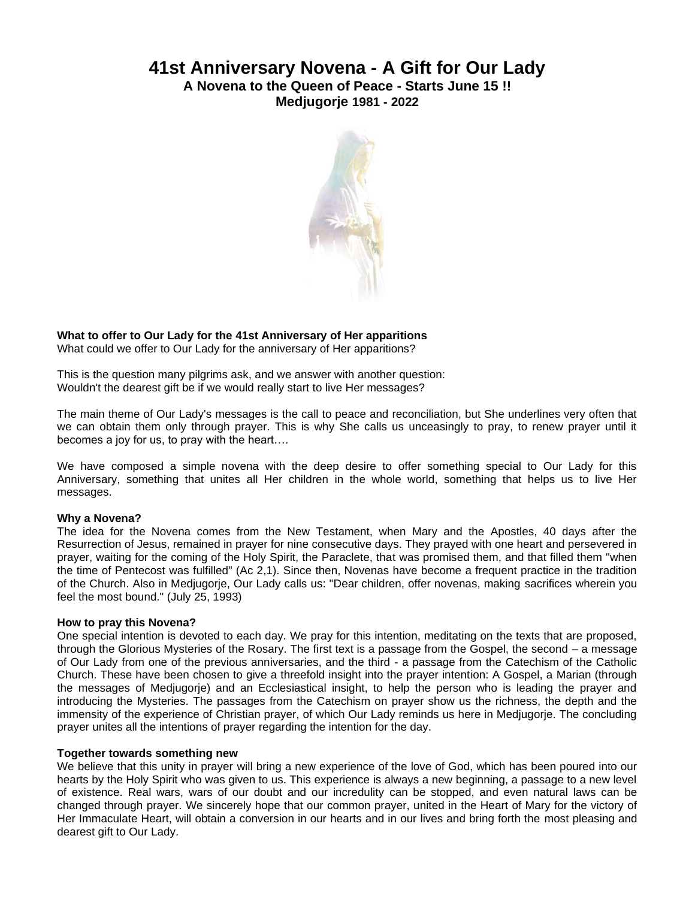# **41st Anniversary Novena - A Gift for Our Lady**

**A Novena to the Queen of Peace - Starts June 15 !! Medjugorje 1981 - 2022**



**What to offer to Our Lady for the 41st Anniversary of Her apparitions** What could we offer to Our Lady for the anniversary of Her apparitions?

This is the question many pilgrims ask, and we answer with another question: Wouldn't the dearest gift be if we would really start to live Her messages?

The main theme of Our Lady's messages is the call to peace and reconciliation, but She underlines very often that we can obtain them only through prayer. This is why She calls us unceasingly to pray, to renew prayer until it becomes a joy for us, to pray with the heart….

We have composed a simple novena with the deep desire to offer something special to Our Lady for this Anniversary, something that unites all Her children in the whole world, something that helps us to live Her messages.

#### **Why a Novena?**

The idea for the Novena comes from the New Testament, when Mary and the Apostles, 40 days after the Resurrection of Jesus, remained in prayer for nine consecutive days. They prayed with one heart and persevered in prayer, waiting for the coming of the Holy Spirit, the Paraclete, that was promised them, and that filled them "when the time of Pentecost was fulfilled" (Ac 2,1). Since then, Novenas have become a frequent practice in the tradition of the Church. Also in Medjugorje, Our Lady calls us: "Dear children, offer novenas, making sacrifices wherein you feel the most bound." (July 25, 1993)

#### **How to pray this Novena?**

One special intention is devoted to each day. We pray for this intention, meditating on the texts that are proposed, through the Glorious Mysteries of the Rosary. The first text is a passage from the Gospel, the second – a message of Our Lady from one of the previous anniversaries, and the third - a passage from the Catechism of the Catholic Church. These have been chosen to give a threefold insight into the prayer intention: A Gospel, a Marian (through the messages of Medjugorje) and an Ecclesiastical insight, to help the person who is leading the prayer and introducing the Mysteries. The passages from the Catechism on prayer show us the richness, the depth and the immensity of the experience of Christian prayer, of which Our Lady reminds us here in Medjugorje. The concluding prayer unites all the intentions of prayer regarding the intention for the day.

#### **Together towards something new**

We believe that this unity in prayer will bring a new experience of the love of God, which has been poured into our hearts by the Holy Spirit who was given to us. This experience is always a new beginning, a passage to a new level of existence. Real wars, wars of our doubt and our incredulity can be stopped, and even natural laws can be changed through prayer. We sincerely hope that our common prayer, united in the Heart of Mary for the victory of Her Immaculate Heart, will obtain a conversion in our hearts and in our lives and bring forth the most pleasing and dearest gift to Our Lady.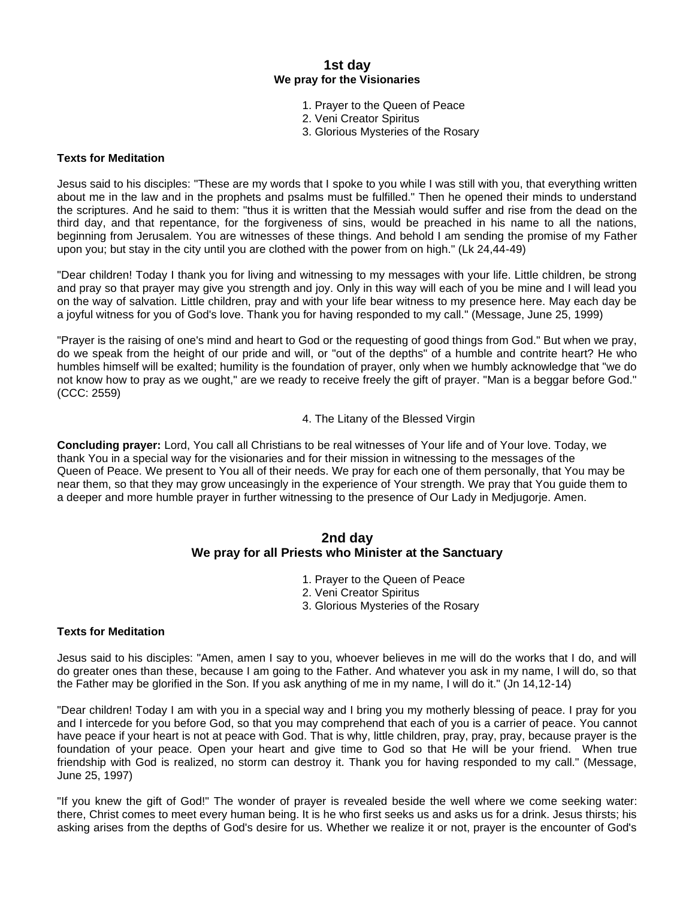## **1st day We pray for the Visionaries**

- 1. Prayer to the Queen of Peace
- 2. Veni Creator Spiritus
- 3. Glorious Mysteries of the Rosary

#### **Texts for Meditation**

Jesus said to his disciples: "These are my words that I spoke to you while I was still with you, that everything written about me in the law and in the prophets and psalms must be fulfilled." Then he opened their minds to understand the scriptures. And he said to them: "thus it is written that the Messiah would suffer and rise from the dead on the third day, and that repentance, for the forgiveness of sins, would be preached in his name to all the nations, beginning from Jerusalem. You are witnesses of these things. And behold I am sending the promise of my Father upon you; but stay in the city until you are clothed with the power from on high." (Lk 24,44-49)

"Dear children! Today I thank you for living and witnessing to my messages with your life. Little children, be strong and pray so that prayer may give you strength and joy. Only in this way will each of you be mine and I will lead you on the way of salvation. Little children, pray and with your life bear witness to my presence here. May each day be a joyful witness for you of God's love. Thank you for having responded to my call." (Message, June 25, 1999)

"Prayer is the raising of one's mind and heart to God or the requesting of good things from God." But when we pray, do we speak from the height of our pride and will, or "out of the depths" of a humble and contrite heart? He who humbles himself will be exalted; humility is the foundation of prayer, only when we humbly acknowledge that "we do not know how to pray as we ought," are we ready to receive freely the gift of prayer. "Man is a beggar before God." (CCC: 2559)

4. The Litany of the Blessed Virgin

**Concluding prayer:** Lord, You call all Christians to be real witnesses of Your life and of Your love. Today, we thank You in a special way for the visionaries and for their mission in witnessing to the messages of the Queen of Peace. We present to You all of their needs. We pray for each one of them personally, that You may be near them, so that they may grow unceasingly in the experience of Your strength. We pray that You guide them to a deeper and more humble prayer in further witnessing to the presence of Our Lady in Medjugorje. Amen.

## **2nd day We pray for all Priests who Minister at the Sanctuary**

- 1. Prayer to the Queen of Peace
- 2. Veni Creator Spiritus
- 3. Glorious Mysteries of the Rosary

#### **Texts for Meditation**

Jesus said to his disciples: "Amen, amen I say to you, whoever believes in me will do the works that I do, and will do greater ones than these, because I am going to the Father. And whatever you ask in my name, I will do, so that the Father may be glorified in the Son. If you ask anything of me in my name, I will do it." (Jn 14,12-14)

"Dear children! Today I am with you in a special way and I bring you my motherly blessing of peace. I pray for you and I intercede for you before God, so that you may comprehend that each of you is a carrier of peace. You cannot have peace if your heart is not at peace with God. That is why, little children, pray, pray, pray, because prayer is the foundation of your peace. Open your heart and give time to God so that He will be your friend. When true friendship with God is realized, no storm can destroy it. Thank you for having responded to my call." (Message, June 25, 1997)

"If you knew the gift of God!" The wonder of prayer is revealed beside the well where we come seeking water: there, Christ comes to meet every human being. It is he who first seeks us and asks us for a drink. Jesus thirsts; his asking arises from the depths of God's desire for us. Whether we realize it or not, prayer is the encounter of God's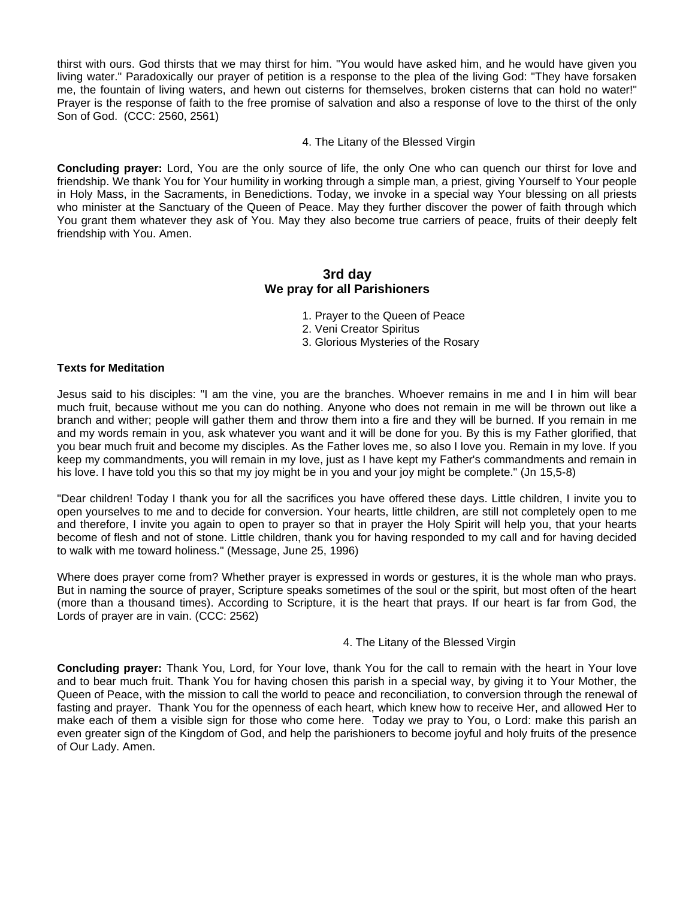thirst with ours. God thirsts that we may thirst for him. "You would have asked him, and he would have given you living water." Paradoxically our prayer of petition is a response to the plea of the living God: "They have forsaken me, the fountain of living waters, and hewn out cisterns for themselves, broken cisterns that can hold no water!" Prayer is the response of faith to the free promise of salvation and also a response of love to the thirst of the only Son of God. (CCC: 2560, 2561)

4. The Litany of the Blessed Virgin

**Concluding prayer:** Lord, You are the only source of life, the only One who can quench our thirst for love and friendship. We thank You for Your humility in working through a simple man, a priest, giving Yourself to Your people in Holy Mass, in the Sacraments, in Benedictions. Today, we invoke in a special way Your blessing on all priests who minister at the Sanctuary of the Queen of Peace. May they further discover the power of faith through which You grant them whatever they ask of You. May they also become true carriers of peace, fruits of their deeply felt friendship with You. Amen.

## **3rd day We pray for all Parishioners**

- 1. Prayer to the Queen of Peace
- 2. Veni Creator Spiritus
- 3. Glorious Mysteries of the Rosary

#### **Texts for Meditation**

Jesus said to his disciples: "I am the vine, you are the branches. Whoever remains in me and I in him will bear much fruit, because without me you can do nothing. Anyone who does not remain in me will be thrown out like a branch and wither; people will gather them and throw them into a fire and they will be burned. If you remain in me and my words remain in you, ask whatever you want and it will be done for you. By this is my Father glorified, that you bear much fruit and become my disciples. As the Father loves me, so also I love you. Remain in my love. If you keep my commandments, you will remain in my love, just as I have kept my Father's commandments and remain in his love. I have told you this so that my joy might be in you and your joy might be complete." (Jn 15,5-8)

"Dear children! Today I thank you for all the sacrifices you have offered these days. Little children, I invite you to open yourselves to me and to decide for conversion. Your hearts, little children, are still not completely open to me and therefore, I invite you again to open to prayer so that in prayer the Holy Spirit will help you, that your hearts become of flesh and not of stone. Little children, thank you for having responded to my call and for having decided to walk with me toward holiness." (Message, June 25, 1996)

Where does prayer come from? Whether prayer is expressed in words or gestures, it is the whole man who prays. But in naming the source of prayer, Scripture speaks sometimes of the soul or the spirit, but most often of the heart (more than a thousand times). According to Scripture, it is the heart that prays. If our heart is far from God, the Lords of prayer are in vain. (CCC: 2562)

#### 4. The Litany of the Blessed Virgin

**Concluding prayer:** Thank You, Lord, for Your love, thank You for the call to remain with the heart in Your love and to bear much fruit. Thank You for having chosen this parish in a special way, by giving it to Your Mother, the Queen of Peace, with the mission to call the world to peace and reconciliation, to conversion through the renewal of fasting and prayer. Thank You for the openness of each heart, which knew how to receive Her, and allowed Her to make each of them a visible sign for those who come here. Today we pray to You, o Lord: make this parish an even greater sign of the Kingdom of God, and help the parishioners to become joyful and holy fruits of the presence of Our Lady. Amen.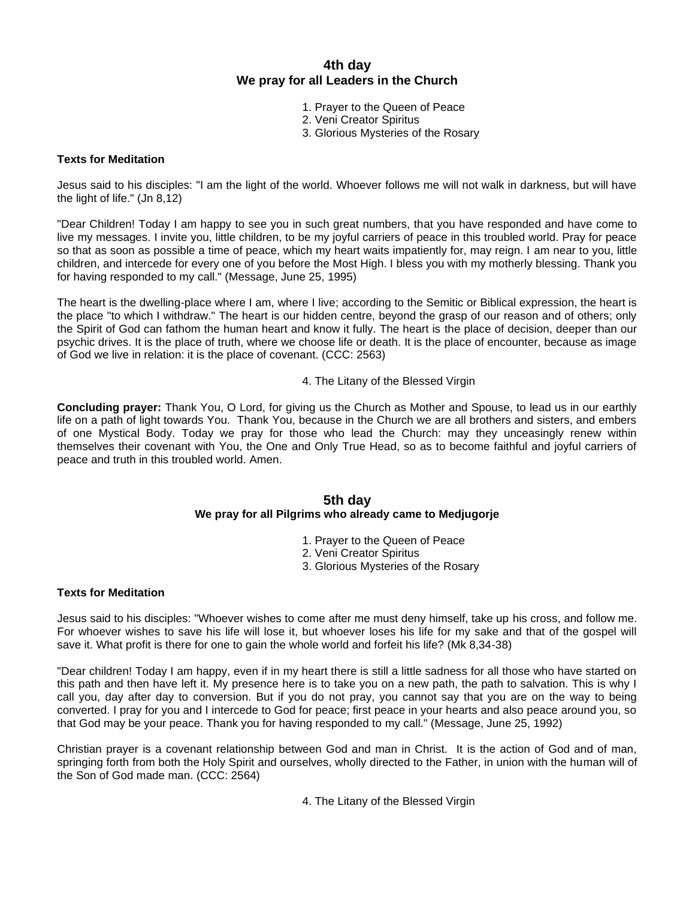## **4th day We pray for all Leaders in the Church**

- 1. Prayer to the Queen of Peace
- 2. Veni Creator Spiritus
- 3. Glorious Mysteries of the Rosary

### **Texts for Meditation**

Jesus said to his disciples: "I am the light of the world. Whoever follows me will not walk in darkness, but will have the light of life." (Jn 8,12)

"Dear Children! Today I am happy to see you in such great numbers, that you have responded and have come to live my messages. I invite you, little children, to be my joyful carriers of peace in this troubled world. Pray for peace so that as soon as possible a time of peace, which my heart waits impatiently for, may reign. I am near to you, little children, and intercede for every one of you before the Most High. I bless you with my motherly blessing. Thank you for having responded to my call." (Message, June 25, 1995)

The heart is the dwelling-place where I am, where I live; according to the Semitic or Biblical expression, the heart is the place "to which I withdraw." The heart is our hidden centre, beyond the grasp of our reason and of others; only the Spirit of God can fathom the human heart and know it fully. The heart is the place of decision, deeper than our psychic drives. It is the place of truth, where we choose life or death. It is the place of encounter, because as image of God we live in relation: it is the place of covenant. (CCC: 2563)

4. The Litany of the Blessed Virgin

**Concluding prayer:** Thank You, O Lord, for giving us the Church as Mother and Spouse, to lead us in our earthly life on a path of light towards You. Thank You, because in the Church we are all brothers and sisters, and embers of one Mystical Body. Today we pray for those who lead the Church: may they unceasingly renew within themselves their covenant with You, the One and Only True Head, so as to become faithful and joyful carriers of peace and truth in this troubled world. Amen.

### **5th day We pray for all Pilgrims who already came to Medjugorje**

- 1. Prayer to the Queen of Peace
- 2. Veni Creator Spiritus
- 3. Glorious Mysteries of the Rosary

#### **Texts for Meditation**

Jesus said to his disciples: "Whoever wishes to come after me must deny himself, take up his cross, and follow me. For whoever wishes to save his life will lose it, but whoever loses his life for my sake and that of the gospel will save it. What profit is there for one to gain the whole world and forfeit his life? (Mk 8,34-38)

"Dear children! Today I am happy, even if in my heart there is still a little sadness for all those who have started on this path and then have left it. My presence here is to take you on a new path, the path to salvation. This is why I call you, day after day to conversion. But if you do not pray, you cannot say that you are on the way to being converted. I pray for you and I intercede to God for peace; first peace in your hearts and also peace around you, so that God may be your peace. Thank you for having responded to my call." (Message, June 25, 1992)

Christian prayer is a covenant relationship between God and man in Christ. It is the action of God and of man, springing forth from both the Holy Spirit and ourselves, wholly directed to the Father, in union with the human will of the Son of God made man. (CCC: 2564)

4. The Litany of the Blessed Virgin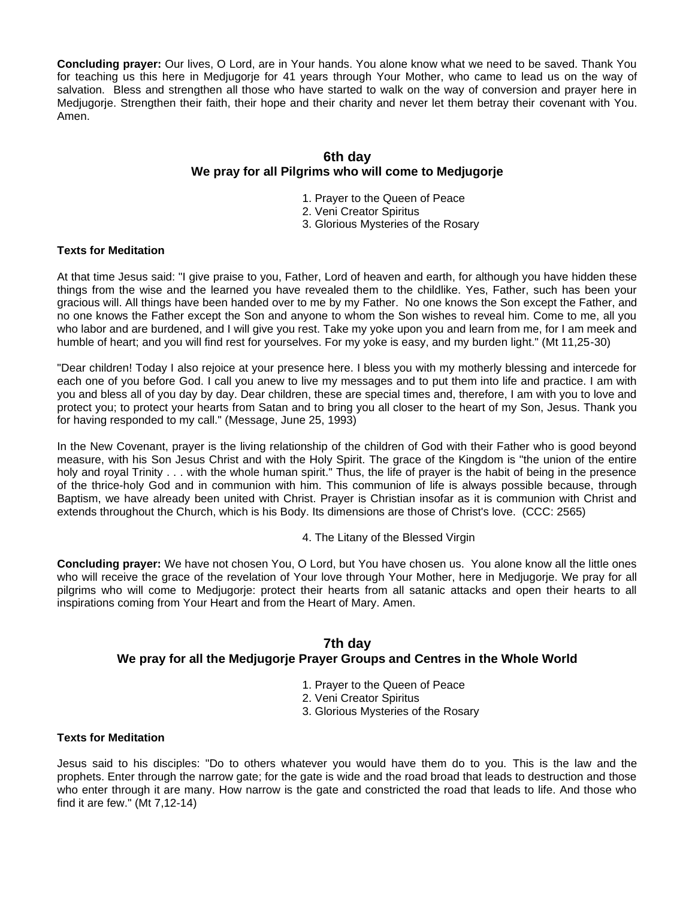**Concluding prayer:** Our lives, O Lord, are in Your hands. You alone know what we need to be saved. Thank You for teaching us this here in Medjugorje for 41 years through Your Mother, who came to lead us on the way of salvation. Bless and strengthen all those who have started to walk on the way of conversion and prayer here in Medjugorje. Strengthen their faith, their hope and their charity and never let them betray their covenant with You. Amen.

## **6th day We pray for all Pilgrims who will come to Medjugorje**

- 1. Prayer to the Queen of Peace
- 2. Veni Creator Spiritus
- 3. Glorious Mysteries of the Rosary

#### **Texts for Meditation**

At that time Jesus said: "I give praise to you, Father, Lord of heaven and earth, for although you have hidden these things from the wise and the learned you have revealed them to the childlike. Yes, Father, such has been your gracious will. All things have been handed over to me by my Father. No one knows the Son except the Father, and no one knows the Father except the Son and anyone to whom the Son wishes to reveal him. Come to me, all you who labor and are burdened, and I will give you rest. Take my yoke upon you and learn from me, for I am meek and humble of heart; and you will find rest for yourselves. For my yoke is easy, and my burden light." (Mt 11,25-30)

"Dear children! Today I also rejoice at your presence here. I bless you with my motherly blessing and intercede for each one of you before God. I call you anew to live my messages and to put them into life and practice. I am with you and bless all of you day by day. Dear children, these are special times and, therefore, I am with you to love and protect you; to protect your hearts from Satan and to bring you all closer to the heart of my Son, Jesus. Thank you for having responded to my call." (Message, June 25, 1993)

In the New Covenant, prayer is the living relationship of the children of God with their Father who is good beyond measure, with his Son Jesus Christ and with the Holy Spirit. The grace of the Kingdom is "the union of the entire holy and royal Trinity . . . with the whole human spirit." Thus, the life of prayer is the habit of being in the presence of the thrice-holy God and in communion with him. This communion of life is always possible because, through Baptism, we have already been united with Christ. Prayer is Christian insofar as it is communion with Christ and extends throughout the Church, which is his Body. Its dimensions are those of Christ's love. (CCC: 2565)

4. The Litany of the Blessed Virgin

**Concluding prayer:** We have not chosen You, O Lord, but You have chosen us. You alone know all the little ones who will receive the grace of the revelation of Your love through Your Mother, here in Medjugorje. We pray for all pilgrims who will come to Medjugorje: protect their hearts from all satanic attacks and open their hearts to all inspirations coming from Your Heart and from the Heart of Mary. Amen.

#### **7th day**

### **We pray for all the Medjugorje Prayer Groups and Centres in the Whole World**

- 1. Prayer to the Queen of Peace
- 2. Veni Creator Spiritus
- 3. Glorious Mysteries of the Rosary

#### **Texts for Meditation**

Jesus said to his disciples: "Do to others whatever you would have them do to you. This is the law and the prophets. Enter through the narrow gate; for the gate is wide and the road broad that leads to destruction and those who enter through it are many. How narrow is the gate and constricted the road that leads to life. And those who find it are few." (Mt 7,12-14)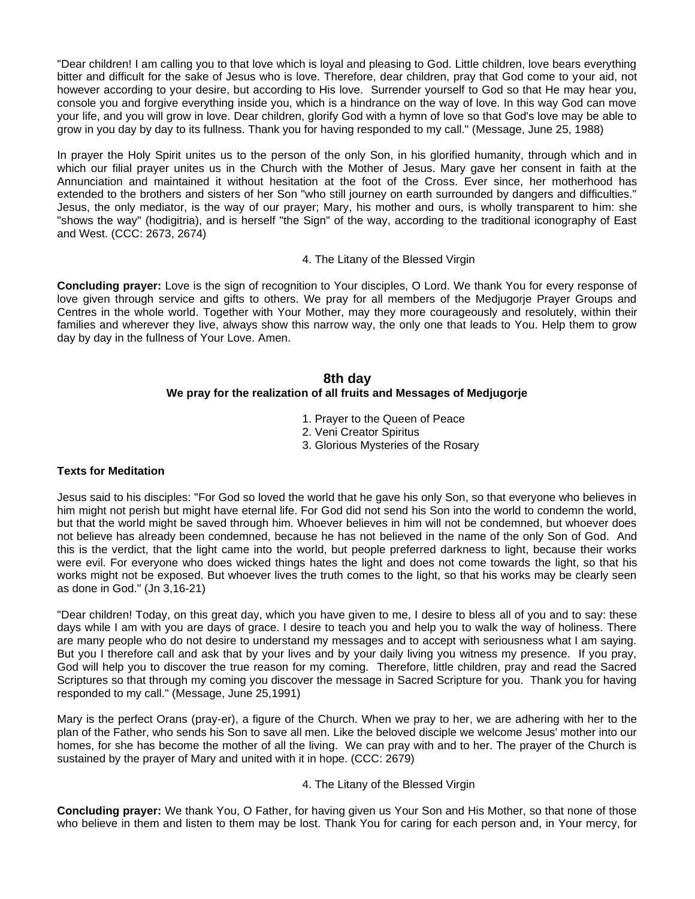"Dear children! I am calling you to that love which is loyal and pleasing to God. Little children, love bears everything bitter and difficult for the sake of Jesus who is love. Therefore, dear children, pray that God come to your aid, not however according to your desire, but according to His love. Surrender yourself to God so that He may hear you, console you and forgive everything inside you, which is a hindrance on the way of love. In this way God can move your life, and you will grow in love. Dear children, glorify God with a hymn of love so that God's love may be able to grow in you day by day to its fullness. Thank you for having responded to my call." (Message, June 25, 1988)

In prayer the Holy Spirit unites us to the person of the only Son, in his glorified humanity, through which and in which our filial prayer unites us in the Church with the Mother of Jesus. Mary gave her consent in faith at the Annunciation and maintained it without hesitation at the foot of the Cross. Ever since, her motherhood has extended to the brothers and sisters of her Son "who still journey on earth surrounded by dangers and difficulties." Jesus, the only mediator, is the way of our prayer; Mary, his mother and ours, is wholly transparent to him: she "shows the way" (hodigitria), and is herself "the Sign" of the way, according to the traditional iconography of East and West. (CCC: 2673, 2674)

#### 4. The Litany of the Blessed Virgin

**Concluding prayer:** Love is the sign of recognition to Your disciples, O Lord. We thank You for every response of love given through service and gifts to others. We pray for all members of the Medjugorje Prayer Groups and Centres in the whole world. Together with Your Mother, may they more courageously and resolutely, within their families and wherever they live, always show this narrow way, the only one that leads to You. Help them to grow day by day in the fullness of Your Love. Amen.

## **8th day We pray for the realization of all fruits and Messages of Medjugorje**

- 1. Prayer to the Queen of Peace
- 2. Veni Creator Spiritus
- 3. Glorious Mysteries of the Rosary

### **Texts for Meditation**

Jesus said to his disciples: "For God so loved the world that he gave his only Son, so that everyone who believes in him might not perish but might have eternal life. For God did not send his Son into the world to condemn the world, but that the world might be saved through him. Whoever believes in him will not be condemned, but whoever does not believe has already been condemned, because he has not believed in the name of the only Son of God. And this is the verdict, that the light came into the world, but people preferred darkness to light, because their works were evil. For everyone who does wicked things hates the light and does not come towards the light, so that his works might not be exposed. But whoever lives the truth comes to the light, so that his works may be clearly seen as done in God." (Jn 3,16-21)

"Dear children! Today, on this great day, which you have given to me, I desire to bless all of you and to say: these days while I am with you are days of grace. I desire to teach you and help you to walk the way of holiness. There are many people who do not desire to understand my messages and to accept with seriousness what I am saying. But you I therefore call and ask that by your lives and by your daily living you witness my presence. If you pray, God will help you to discover the true reason for my coming. Therefore, little children, pray and read the Sacred Scriptures so that through my coming you discover the message in Sacred Scripture for you. Thank you for having responded to my call." (Message, June 25,1991)

Mary is the perfect Orans (pray-er), a figure of the Church. When we pray to her, we are adhering with her to the plan of the Father, who sends his Son to save all men. Like the beloved disciple we welcome Jesus' mother into our homes, for she has become the mother of all the living. We can pray with and to her. The prayer of the Church is sustained by the prayer of Mary and united with it in hope. (CCC: 2679)

#### 4. The Litany of the Blessed Virgin

**Concluding prayer:** We thank You, O Father, for having given us Your Son and His Mother, so that none of those who believe in them and listen to them may be lost. Thank You for caring for each person and, in Your mercy, for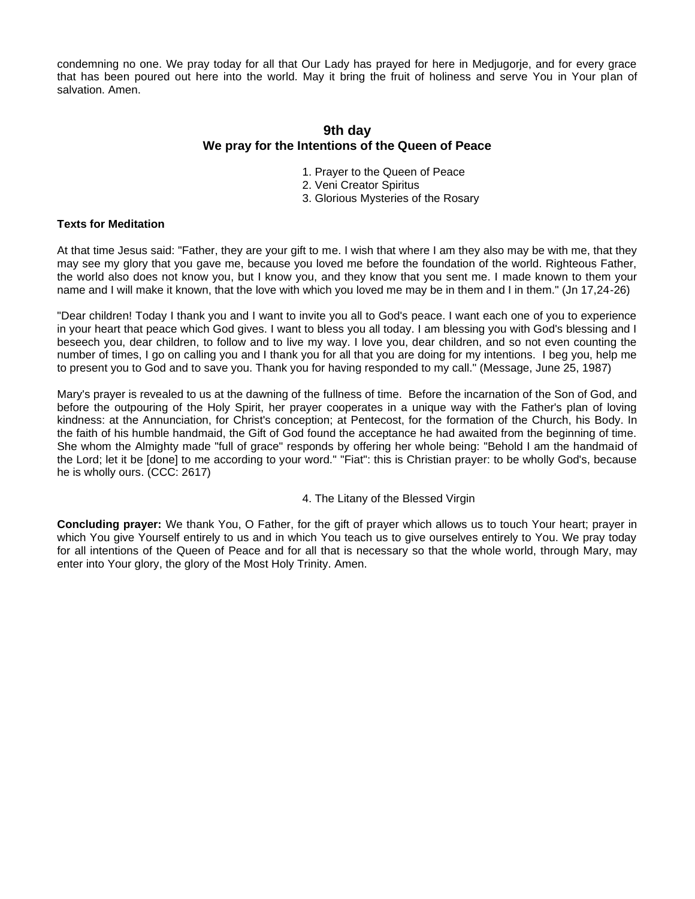condemning no one. We pray today for all that Our Lady has prayed for here in Medjugorje, and for every grace that has been poured out here into the world. May it bring the fruit of holiness and serve You in Your plan of salvation. Amen.

## **9th day We pray for the Intentions of the Queen of Peace**

- 1. Prayer to the Queen of Peace
- 2. Veni Creator Spiritus
- 3. Glorious Mysteries of the Rosary

#### **Texts for Meditation**

At that time Jesus said: "Father, they are your gift to me. I wish that where I am they also may be with me, that they may see my glory that you gave me, because you loved me before the foundation of the world. Righteous Father, the world also does not know you, but I know you, and they know that you sent me. I made known to them your name and I will make it known, that the love with which you loved me may be in them and I in them." (Jn 17,24-26)

"Dear children! Today I thank you and I want to invite you all to God's peace. I want each one of you to experience in your heart that peace which God gives. I want to bless you all today. I am blessing you with God's blessing and I beseech you, dear children, to follow and to live my way. I love you, dear children, and so not even counting the number of times, I go on calling you and I thank you for all that you are doing for my intentions. I beg you, help me to present you to God and to save you. Thank you for having responded to my call." (Message, June 25, 1987)

Mary's prayer is revealed to us at the dawning of the fullness of time. Before the incarnation of the Son of God, and before the outpouring of the Holy Spirit, her prayer cooperates in a unique way with the Father's plan of loving kindness: at the Annunciation, for Christ's conception; at Pentecost, for the formation of the Church, his Body. In the faith of his humble handmaid, the Gift of God found the acceptance he had awaited from the beginning of time. She whom the Almighty made "full of grace" responds by offering her whole being: "Behold I am the handmaid of the Lord; let it be [done] to me according to your word." "Fiat": this is Christian prayer: to be wholly God's, because he is wholly ours. (CCC: 2617)

4. The Litany of the Blessed Virgin

**Concluding prayer:** We thank You, O Father, for the gift of prayer which allows us to touch Your heart; prayer in which You give Yourself entirely to us and in which You teach us to give ourselves entirely to You. We pray today for all intentions of the Queen of Peace and for all that is necessary so that the whole world, through Mary, may enter into Your glory, the glory of the Most Holy Trinity. Amen.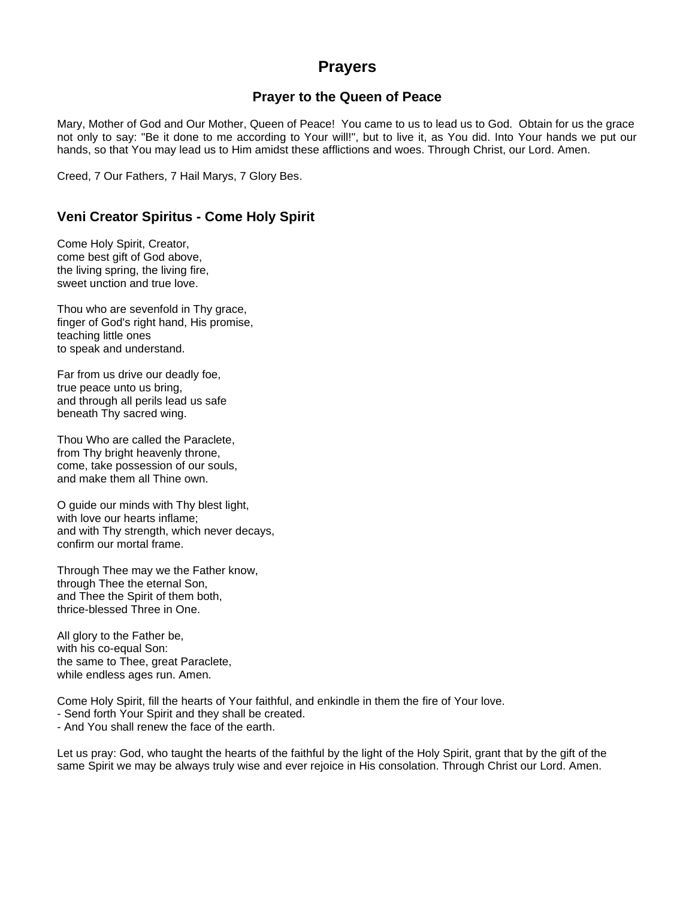# **Prayers**

## **Prayer to the Queen of Peace**

Mary, Mother of God and Our Mother, Queen of Peace! You came to us to lead us to God. Obtain for us the grace not only to say: "Be it done to me according to Your will!", but to live it, as You did. Into Your hands we put our hands, so that You may lead us to Him amidst these afflictions and woes. Through Christ, our Lord. Amen.

Creed, 7 Our Fathers, 7 Hail Marys, 7 Glory Bes.

## **Veni Creator Spiritus - Come Holy Spirit**

Come Holy Spirit, Creator, come best gift of God above, the living spring, the living fire, sweet unction and true love.

Thou who are sevenfold in Thy grace, finger of God's right hand, His promise, teaching little ones to speak and understand.

Far from us drive our deadly foe, true peace unto us bring, and through all perils lead us safe beneath Thy sacred wing.

Thou Who are called the Paraclete, from Thy bright heavenly throne, come, take possession of our souls, and make them all Thine own.

O guide our minds with Thy blest light, with love our hearts inflame; and with Thy strength, which never decays, confirm our mortal frame.

Through Thee may we the Father know, through Thee the eternal Son, and Thee the Spirit of them both, thrice-blessed Three in One.

All glory to the Father be, with his co-equal Son: the same to Thee, great Paraclete, while endless ages run. Amen.

Come Holy Spirit, fill the hearts of Your faithful, and enkindle in them the fire of Your love.

- Send forth Your Spirit and they shall be created.

- And You shall renew the face of the earth.

Let us pray: God, who taught the hearts of the faithful by the light of the Holy Spirit, grant that by the gift of the same Spirit we may be always truly wise and ever rejoice in His consolation. Through Christ our Lord. Amen.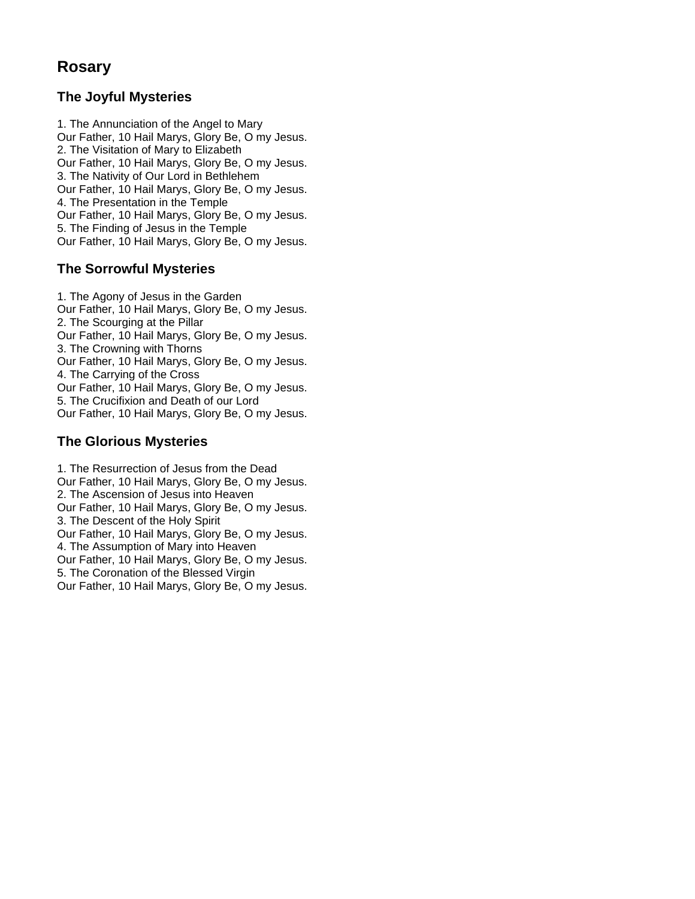# **Rosary**

## **The Joyful Mysteries**

1. The Annunciation of the Angel to Mary Our Father, 10 Hail Marys, Glory Be, O my Jesus. 2. The Visitation of Mary to Elizabeth Our Father, 10 Hail Marys, Glory Be, O my Jesus. 3. The Nativity of Our Lord in Bethlehem Our Father, 10 Hail Marys, Glory Be, O my Jesus. 4. The Presentation in the Temple Our Father, 10 Hail Marys, Glory Be, O my Jesus. 5. The Finding of Jesus in the Temple Our Father, 10 Hail Marys, Glory Be, O my Jesus.

## **The Sorrowful Mysteries**

1. The Agony of Jesus in the Garden Our Father, 10 Hail Marys, Glory Be, O my Jesus. 2. The Scourging at the Pillar Our Father, 10 Hail Marys, Glory Be, O my Jesus. 3. The Crowning with Thorns Our Father, 10 Hail Marys, Glory Be, O my Jesus. 4. The Carrying of the Cross Our Father, 10 Hail Marys, Glory Be, O my Jesus. 5. The Crucifixion and Death of our Lord Our Father, 10 Hail Marys, Glory Be, O my Jesus.

## **The Glorious Mysteries**

1. The Resurrection of Jesus from the Dead Our Father, 10 Hail Marys, Glory Be, O my Jesus. 2. The Ascension of Jesus into Heaven Our Father, 10 Hail Marys, Glory Be, O my Jesus. 3. The Descent of the Holy Spirit Our Father, 10 Hail Marys, Glory Be, O my Jesus. 4. The Assumption of Mary into Heaven Our Father, 10 Hail Marys, Glory Be, O my Jesus. 5. The Coronation of the Blessed Virgin Our Father, 10 Hail Marys, Glory Be, O my Jesus.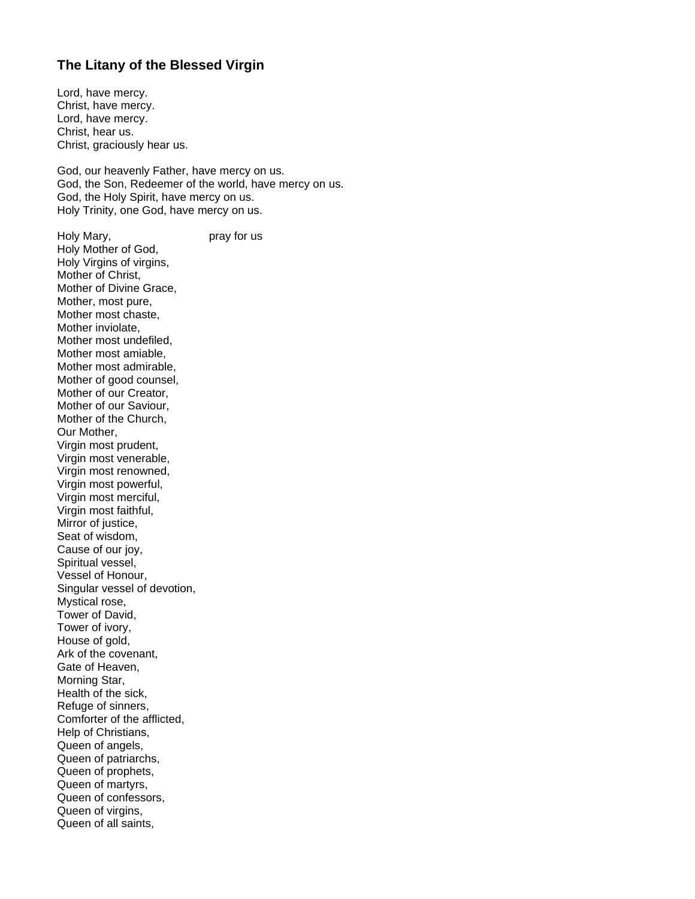## **The Litany of the Blessed Virgin**

Lord, have mercy. Christ, have mercy. Lord, have mercy. Christ, hear us. Christ, graciously hear us.

God, our heavenly Father, have mercy on us. God, the Son, Redeemer of the world, have mercy on us. God, the Holy Spirit, have mercy on us. Holy Trinity, one God, have mercy on us.

Holy Mary, pray for us Holy Mother of God, Holy Virgins of virgins, Mother of Christ, Mother of Divine Grace, Mother, most pure, Mother most chaste, Mother inviolate, Mother most undefiled, Mother most amiable, Mother most admirable, Mother of good counsel, Mother of our Creator, Mother of our Saviour, Mother of the Church, Our Mother, Virgin most prudent, Virgin most venerable, Virgin most renowned, Virgin most powerful, Virgin most merciful, Virgin most faithful, Mirror of justice, Seat of wisdom, Cause of our joy, Spiritual vessel, Vessel of Honour, Singular vessel of devotion, Mystical rose, Tower of David, Tower of ivory, House of gold, Ark of the covenant, Gate of Heaven, Morning Star, Health of the sick, Refuge of sinners, Comforter of the afflicted, Help of Christians, Queen of angels, Queen of patriarchs, Queen of prophets, Queen of martyrs, Queen of confessors, Queen of virgins, Queen of all saints,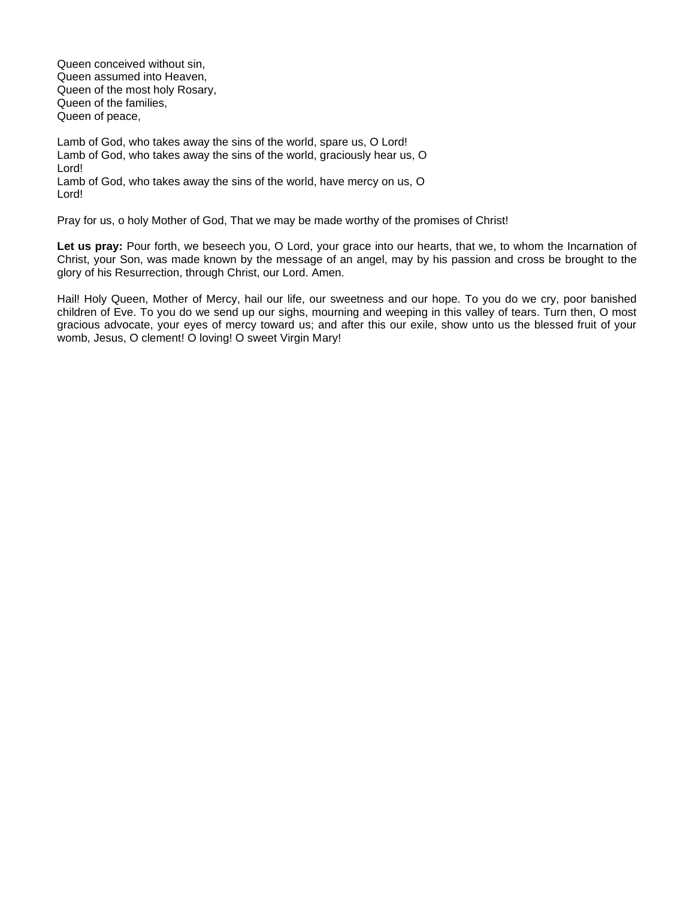Queen conceived without sin, Queen assumed into Heaven, Queen of the most holy Rosary, Queen of the families, Queen of peace,

Lamb of God, who takes away the sins of the world, spare us, O Lord! Lamb of God, who takes away the sins of the world, graciously hear us, O Lord! Lamb of God, who takes away the sins of the world, have mercy on us, O Lord!

Pray for us, o holy Mother of God, That we may be made worthy of the promises of Christ!

Let us pray: Pour forth, we beseech you, O Lord, your grace into our hearts, that we, to whom the Incarnation of Christ, your Son, was made known by the message of an angel, may by his passion and cross be brought to the glory of his Resurrection, through Christ, our Lord. Amen.

Hail! Holy Queen, Mother of Mercy, hail our life, our sweetness and our hope. To you do we cry, poor banished children of Eve. To you do we send up our sighs, mourning and weeping in this valley of tears. Turn then, O most gracious advocate, your eyes of mercy toward us; and after this our exile, show unto us the blessed fruit of your womb, Jesus, O clement! O loving! O sweet Virgin Mary!